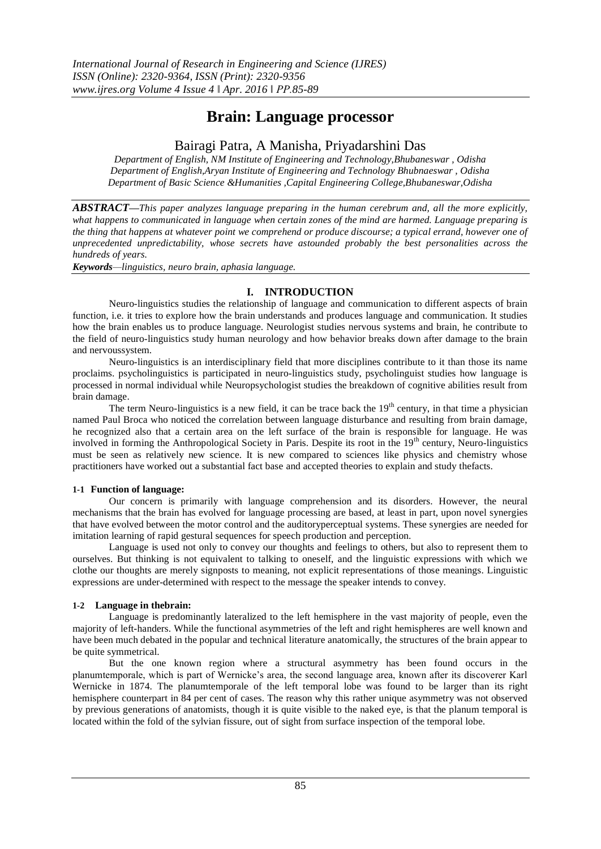# **Brain: Language processor**

# Bairagi Patra, A Manisha, Priyadarshini Das

*Department of English, NM Institute of Engineering and Technology,Bhubaneswar , Odisha Department of English,Aryan Institute of Engineering and Technology Bhubnaeswar , Odisha Department of Basic Science &Humanities ,Capital Engineering College,Bhubaneswar,Odisha*

*ABSTRACT—This paper analyzes language preparing in the human cerebrum and, all the more explicitly, what happens to communicated in language when certain zones of the mind are harmed. Language preparing is the thing that happens at whatever point we comprehend or produce discourse; a typical errand, however one of unprecedented unpredictability, whose secrets have astounded probably the best personalities across the hundreds of years.*

*Keywords—linguistics, neuro brain, aphasia language.*

## **I. INTRODUCTION**

Neuro-linguistics studies the relationship of language and communication to different aspects of brain function, i.e. it tries to explore how the brain understands and produces language and communication. It studies how the brain enables us to produce language. Neurologist studies nervous systems and brain, he contribute to the field of neuro-linguistics study human neurology and how behavior breaks down after damage to the brain and nervoussystem.

Neuro-linguistics is an interdisciplinary field that more disciplines contribute to it than those its name proclaims. psycholinguistics is participated in neuro-linguistics study, psycholinguist studies how language is processed in normal individual while Neuropsychologist studies the breakdown of cognitive abilities result from brain damage.

The term Neuro-linguistics is a new field, it can be trace back the  $19<sup>th</sup>$  century, in that time a physician named Paul Broca who noticed the correlation between language disturbance and resulting from brain damage, he recognized also that a certain area on the left surface of the brain is responsible for language. He was involved in forming the Anthropological Society in Paris. Despite its root in the  $19<sup>th</sup>$  century, Neuro-linguistics must be seen as relatively new science. It is new compared to sciences like physics and chemistry whose practitioners have worked out a substantial fact base and accepted theories to explain and study thefacts.

### **1-1 Function of language:**

Our concern is primarily with language comprehension and its disorders. However, the neural mechanisms that the brain has evolved for language processing are based, at least in part, upon novel synergies that have evolved between the motor control and the auditoryperceptual systems. These synergies are needed for imitation learning of rapid gestural sequences for speech production and perception.

Language is used not only to convey our thoughts and feelings to others, but also to represent them to ourselves. But thinking is not equivalent to talking to oneself, and the linguistic expressions with which we clothe our thoughts are merely signposts to meaning, not explicit representations of those meanings. Linguistic expressions are under-determined with respect to the message the speaker intends to convey.

### **1-2 Language in thebrain:**

Language is predominantly lateralized to the left hemisphere in the vast majority of people, even the majority of left-handers. While the functional asymmetries of the left and right hemispheres are well known and have been much debated in the popular and technical literature anatomically, the structures of the brain appear to be quite symmetrical.

But the one known region where a structural asymmetry has been found occurs in the planumtemporale, which is part of Wernicke's area, the second language area, known after its discoverer Karl Wernicke in 1874. The planumtemporale of the left temporal lobe was found to be larger than its right hemisphere counterpart in 84 per cent of cases. The reason why this rather unique asymmetry was not observed by previous generations of anatomists, though it is quite visible to the naked eye, is that the planum temporal is located within the fold of the sylvian fissure, out of sight from surface inspection of the temporal lobe.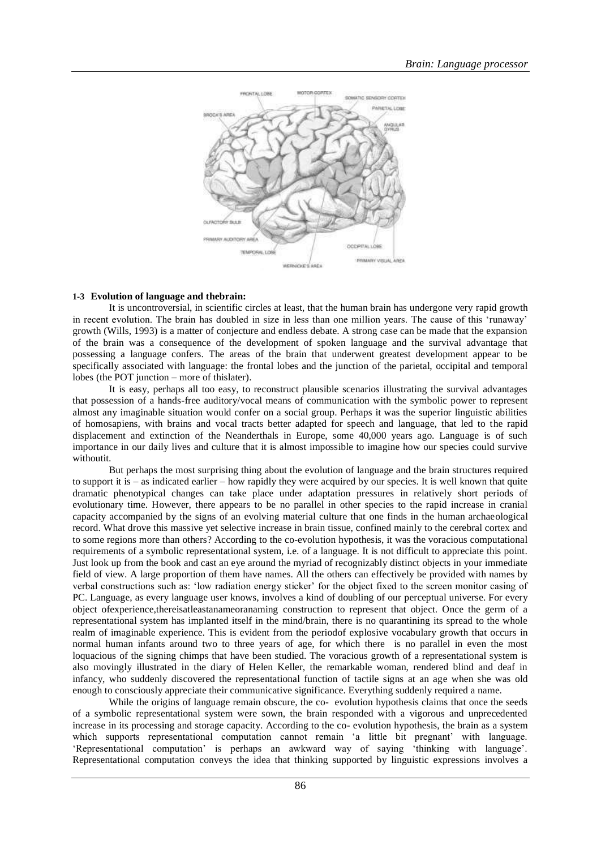

#### **1-3 Evolution of language and thebrain:**

It is uncontroversial, in scientific circles at least, that the human brain has undergone very rapid growth in recent evolution. The brain has doubled in size in less than one million years. The cause of this 'runaway' growth (Wills, 1993) is a matter of conjecture and endless debate. A strong case can be made that the expansion of the brain was a consequence of the development of spoken language and the survival advantage that possessing a language confers. The areas of the brain that underwent greatest development appear to be specifically associated with language: the frontal lobes and the junction of the parietal, occipital and temporal lobes (the POT junction – more of thislater).

It is easy, perhaps all too easy, to reconstruct plausible scenarios illustrating the survival advantages that possession of a hands-free auditory/vocal means of communication with the symbolic power to represent almost any imaginable situation would confer on a social group. Perhaps it was the superior linguistic abilities of homosapiens, with brains and vocal tracts better adapted for speech and language, that led to the rapid displacement and extinction of the Neanderthals in Europe, some 40,000 years ago. Language is of such importance in our daily lives and culture that it is almost impossible to imagine how our species could survive withoutit.

But perhaps the most surprising thing about the evolution of language and the brain structures required to support it is – as indicated earlier – how rapidly they were acquired by our species. It is well known that quite dramatic phenotypical changes can take place under adaptation pressures in relatively short periods of evolutionary time. However, there appears to be no parallel in other species to the rapid increase in cranial capacity accompanied by the signs of an evolving material culture that one finds in the human archaeological record. What drove this massive yet selective increase in brain tissue, confined mainly to the cerebral cortex and to some regions more than others? According to the co-evolution hypothesis, it was the voracious computational requirements of a symbolic representational system, i.e. of a language. It is not difficult to appreciate this point. Just look up from the book and cast an eye around the myriad of recognizably distinct objects in your immediate field of view. A large proportion of them have names. All the others can effectively be provided with names by verbal constructions such as: 'low radiation energy sticker' for the object fixed to the screen monitor casing of PC. Language, as every language user knows, involves a kind of doubling of our perceptual universe. For every object ofexperience,thereisatleastanameoranaming construction to represent that object. Once the germ of a representational system has implanted itself in the mind/brain, there is no quarantining its spread to the whole realm of imaginable experience. This is evident from the periodof explosive vocabulary growth that occurs in normal human infants around two to three years of age, for which there is no parallel in even the most loquacious of the signing chimps that have been studied. The voracious growth of a representational system is also movingly illustrated in the diary of Helen Keller, the remarkable woman, rendered blind and deaf in infancy, who suddenly discovered the representational function of tactile signs at an age when she was old enough to consciously appreciate their communicative significance. Everything suddenly required a name.

While the origins of language remain obscure, the co- evolution hypothesis claims that once the seeds of a symbolic representational system were sown, the brain responded with a vigorous and unprecedented increase in its processing and storage capacity. According to the co- evolution hypothesis, the brain as a system which supports representational computation cannot remain 'a little bit pregnant' with language. 'Representational computation' is perhaps an awkward way of saying 'thinking with language'. Representational computation conveys the idea that thinking supported by linguistic expressions involves a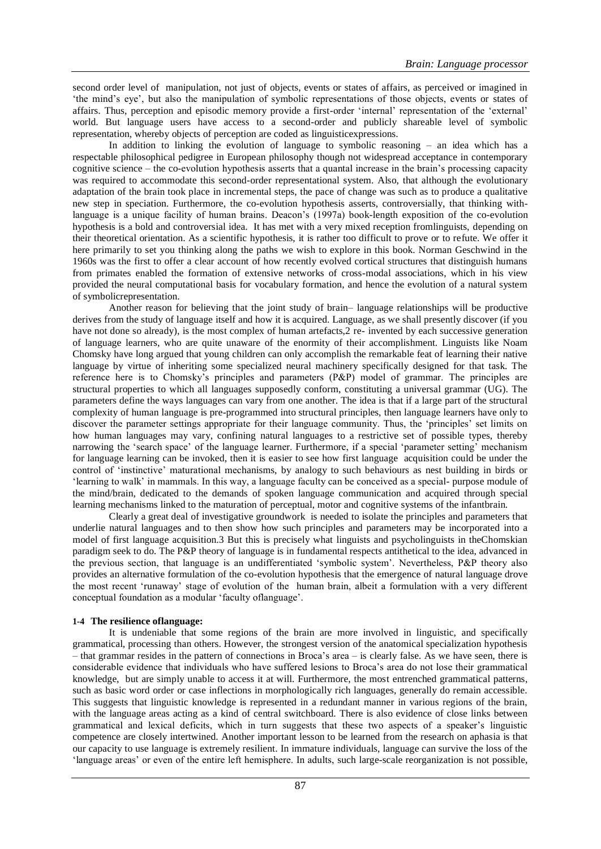second order level of manipulation, not just of objects, events or states of affairs, as perceived or imagined in 'the mind's eye', but also the manipulation of symbolic representations of those objects, events or states of affairs. Thus, perception and episodic memory provide a first-order 'internal' representation of the 'external' world. But language users have access to a second-order and publicly shareable level of symbolic representation, whereby objects of perception are coded as linguisticexpressions.

In addition to linking the evolution of language to symbolic reasoning – an idea which has a respectable philosophical pedigree in European philosophy though not widespread acceptance in contemporary cognitive science – the co-evolution hypothesis asserts that a quantal increase in the brain's processing capacity was required to accommodate this second-order representational system. Also, that although the evolutionary adaptation of the brain took place in incremental steps, the pace of change was such as to produce a qualitative new step in speciation. Furthermore, the co-evolution hypothesis asserts, controversially, that thinking withlanguage is a unique facility of human brains. Deacon's (1997a) book-length exposition of the co-evolution hypothesis is a bold and controversial idea. It has met with a very mixed reception fromlinguists, depending on their theoretical orientation. As a scientific hypothesis, it is rather too difficult to prove or to refute. We offer it here primarily to set you thinking along the paths we wish to explore in this book. Norman Geschwind in the 1960s was the first to offer a clear account of how recently evolved cortical structures that distinguish humans from primates enabled the formation of extensive networks of cross-modal associations, which in his view provided the neural computational basis for vocabulary formation, and hence the evolution of a natural system of symbolicrepresentation.

Another reason for believing that the joint study of brain– language relationships will be productive derives from the study of language itself and how it is acquired. Language, as we shall presently discover (if you have not done so already), is the most complex of human artefacts,  $2$  re- invented by each successive generation of language learners, who are quite unaware of the enormity of their accomplishment. Linguists like Noam Chomsky have long argued that young children can only accomplish the remarkable feat of learning their native language by virtue of inheriting some specialized neural machinery specifically designed for that task. The reference here is to Chomsky's principles and parameters (P&P) model of grammar. The principles are structural properties to which all languages supposedly conform, constituting a universal grammar (UG). The parameters define the ways languages can vary from one another. The idea is that if a large part of the structural complexity of human language is pre-programmed into structural principles, then language learners have only to discover the parameter settings appropriate for their language community. Thus, the 'principles' set limits on how human languages may vary, confining natural languages to a restrictive set of possible types, thereby narrowing the 'search space' of the language learner. Furthermore, if a special 'parameter setting' mechanism for language learning can be invoked, then it is easier to see how first language acquisition could be under the control of 'instinctive' maturational mechanisms, by analogy to such behaviours as nest building in birds or 'learning to walk' in mammals. In this way, a language faculty can be conceived as a special- purpose module of the mind/brain, dedicated to the demands of spoken language communication and acquired through special learning mechanisms linked to the maturation of perceptual, motor and cognitive systems of the infantbrain.

Clearly a great deal of investigative groundwork is needed to isolate the principles and parameters that underlie natural languages and to then show how such principles and parameters may be incorporated into a model of first language acquisition.3 But this is precisely what linguists and psycholinguists in theChomskian paradigm seek to do. The P&P theory of language is in fundamental respects antithetical to the idea, advanced in the previous section, that language is an undifferentiated 'symbolic system'. Nevertheless, P&P theory also provides an alternative formulation of the co-evolution hypothesis that the emergence of natural language drove the most recent 'runaway' stage of evolution of the human brain, albeit a formulation with a very different conceptual foundation as a modular 'faculty oflanguage'.

#### **1-4 The resilience oflanguage:**

It is undeniable that some regions of the brain are more involved in linguistic, and specifically grammatical, processing than others. However, the strongest version of the anatomical specialization hypothesis – that grammar resides in the pattern of connections in Broca's area – is clearly false. As we have seen, there is considerable evidence that individuals who have suffered lesions to Broca's area do not lose their grammatical knowledge, but are simply unable to access it at will. Furthermore, the most entrenched grammatical patterns, such as basic word order or case inflections in morphologically rich languages, generally do remain accessible. This suggests that linguistic knowledge is represented in a redundant manner in various regions of the brain, with the language areas acting as a kind of central switchboard. There is also evidence of close links between grammatical and lexical deficits, which in turn suggests that these two aspects of a speaker's linguistic competence are closely intertwined. Another important lesson to be learned from the research on aphasia is that our capacity to use language is extremely resilient. In immature individuals, language can survive the loss of the 'language areas' or even of the entire left hemisphere. In adults, such large-scale reorganization is not possible,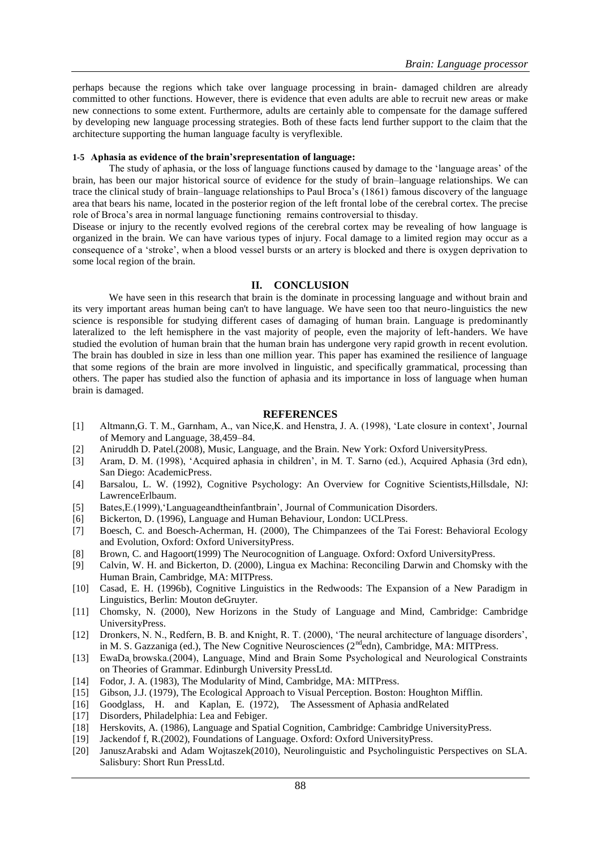perhaps because the regions which take over language processing in brain- damaged children are already committed to other functions. However, there is evidence that even adults are able to recruit new areas or make new connections to some extent. Furthermore, adults are certainly able to compensate for the damage suffered by developing new language processing strategies. Both of these facts lend further support to the claim that the architecture supporting the human language faculty is veryflexible.

#### **1-5 Aphasia as evidence of the brain'srepresentation of language:**

The study of aphasia, or the loss of language functions caused by damage to the 'language areas' of the brain, has been our major historical source of evidence for the study of brain–language relationships. We can trace the clinical study of brain–language relationships to Paul Broca's (1861) famous discovery of the language area that bears his name, located in the posterior region of the left frontal lobe of the cerebral cortex. The precise role of Broca's area in normal language functioning remains controversial to thisday.

Disease or injury to the recently evolved regions of the cerebral cortex may be revealing of how language is organized in the brain. We can have various types of injury. Focal damage to a limited region may occur as a consequence of a 'stroke', when a blood vessel bursts or an artery is blocked and there is oxygen deprivation to some local region of the brain.

#### **II. CONCLUSION**

We have seen in this research that brain is the dominate in processing language and without brain and its very important areas human being can't to have language. We have seen too that neuro-linguistics the new science is responsible for studying different cases of damaging of human brain. Language is predominantly lateralized to the left hemisphere in the vast majority of people, even the majority of left-handers. We have studied the evolution of human brain that the human brain has undergone very rapid growth in recent evolution. The brain has doubled in size in less than one million year. This paper has examined the resilience of language that some regions of the brain are more involved in linguistic, and specifically grammatical, processing than others. The paper has studied also the function of aphasia and its importance in loss of language when human brain is damaged.

#### **REFERENCES**

- [1] Altmann,G. T. M., Garnham, A., van Nice,K. and Henstra, J. A. (1998), 'Late closure in context', Journal of Memory and Language, 38,459–84.
- [2] Aniruddh D. Patel.(2008), Music, Language, and the Brain. New York: Oxford UniversityPress.
- [3] Aram, D. M. (1998), 'Acquired aphasia in children', in M. T. Sarno (ed.), Acquired Aphasia (3rd edn), San Diego: AcademicPress.
- [4] Barsalou, L. W. (1992), Cognitive Psychology: An Overview for Cognitive Scientists,Hillsdale, NJ: LawrenceErlbaum.
- [5] Bates,E.(1999),'Languageandtheinfantbrain', Journal of Communication Disorders.
- [6] Bickerton, D. (1996), Language and Human Behaviour, London: UCLPress.
- [7] Boesch, C. and Boesch-Acherman, H. (2000), The Chimpanzees of the Tai Forest: Behavioral Ecology and Evolution, Oxford: Oxford UniversityPress.
- [8] Brown, C. and Hagoort(1999) The Neurocognition of Language. Oxford: Oxford UniversityPress.
- [9] Calvin, W. H. and Bickerton, D. (2000), Lingua ex Machina: Reconciling Darwin and Chomsky with the Human Brain, Cambridge, MA: MITPress.
- [10] Casad, E. H. (1996b), Cognitive Linguistics in the Redwoods: The Expansion of a New Paradigm in Linguistics, Berlin: Mouton deGruyter.
- [11] Chomsky, N. (2000), New Horizons in the Study of Language and Mind, Cambridge: Cambridge UniversityPress.
- [12] Dronkers, N. N., Redfern, B. B. and Knight, R. T. (2000), 'The neural architecture of language disorders', in M. S. Gazzaniga (ed.), The New Cognitive Neurosciences ( $2<sup>nd</sup>$ edn), Cambridge, MA: MITPress.
- [13] EwaDa˛browska.(2004), Language, Mind and Brain Some Psychological and Neurological Constraints on Theories of Grammar. Edinburgh University PressLtd.
- [14] Fodor, J. A. (1983), The Modularity of Mind, Cambridge, MA: MITPress.
- [15] Gibson, J.J. (1979), The Ecological Approach to Visual Perception. Boston: Houghton Mifflin.
- [16] Goodglass, H. and Kaplan, E. (1972), The Assessment of Aphasia andRelated
- [17] Disorders, Philadelphia: Lea and Febiger.
- [18] Herskovits, A. (1986), Language and Spatial Cognition, Cambridge: Cambridge UniversityPress.
- [19] Jackendof f, R.(2002), Foundations of Language. Oxford: Oxford UniversityPress.
- [20] JanuszArabski and Adam Wojtaszek(2010), Neurolinguistic and Psycholinguistic Perspectives on SLA. Salisbury: Short Run PressLtd.